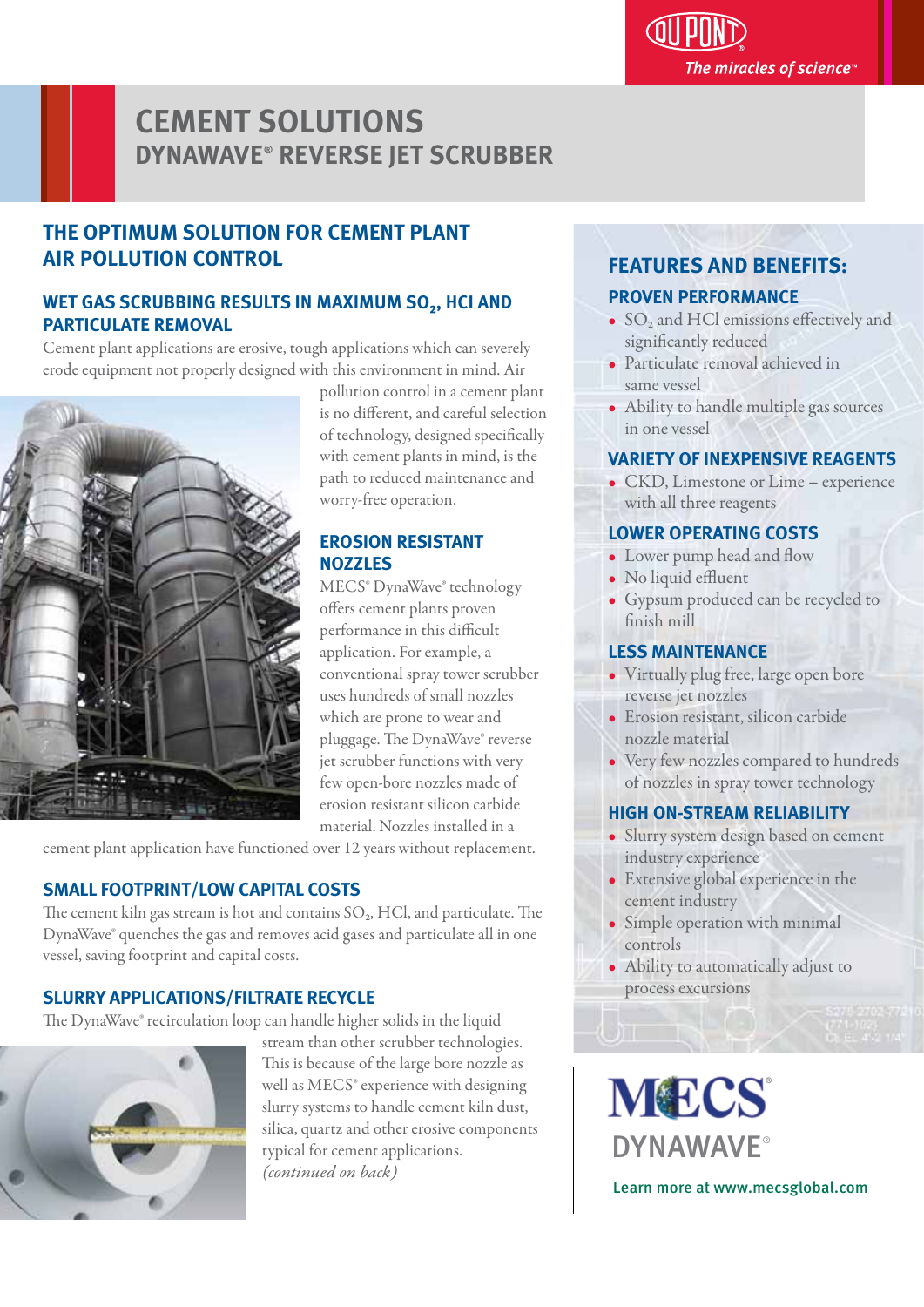# **CEMENT SOLUTIONS DYNAWAVE**®  **REVERSE JET SCRUBBER**

# **THE OPTIMUM SOLUTION FOR CEMENT PI ANT AIR POLLUTION CONTROL**

# WET GAS SCRUBBING RESULTS IN MAXIMUM SO<sub>2</sub>, HCI AND **PARTICULATE REMOVAL**

Cement plant applications are erosive, tough applications which can severely erode equipment not properly designed with this environment in mind. Air



pollution control in a cement plant is no different, and careful selection of technology, designed specifically with cement plants in mind, is the path to reduced maintenance and worry-free operation.

# **EROSION RESISTANT NOZZLES**

MECS® DynaWave® technology offers cement plants proven performance in this difficult application. For example, a conventional spray tower scrubber uses hundreds of small nozzles which are prone to wear and pluggage. The DynaWave® reverse jet scrubber functions with very few open-bore nozzles made of erosion resistant silicon carbide material. Nozzles installed in a

cement plant application have functioned over 12 years without replacement.

# **SMALL FOOTPRINT/LOW CAPITAL COSTS**

The cement kiln gas stream is hot and contains  $SO<sub>2</sub>$ , HCl, and particulate. The DynaWave® quenches the gas and removes acid gases and particulate all in one vessel, saving footprint and capital costs.

# **SLURRY APPLICATIONS/FILTRATE RECYCLE**

The DynaWave® recirculation loop can handle higher solids in the liquid



stream than other scrubber technologies. This is because of the large bore nozzle as well as MECS® experience with designing slurry systems to handle cement kiln dust, silica, quartz and other erosive components typical for cement applications. *(continued on back)*

#### **FEATURES AND BENEFITS:** l

## **PROVEN PERFORMANCE**

- $\bullet$  SO<sub>2</sub> and HCl emissions effectively and significantly reduced
- Particulate removal achieved in same vessel
- Ability to handle multiple gas sources in one vessel

# **VARIETY OF INEXPENSIVE REAGENTS**

• CKD, Limestone or Lime – experience with all three reagents

## **LOWER OPERATING COSTS**

- Lower pump head and flow
- No liquid effluent
- Gypsum produced can be recycled to finish mill

## **LESS MAINTENANCE**

- Virtually plug free, large open bore reverse jet nozzles
- Erosion resistant, silicon carbide nozzle material
- Very few nozzles compared to hundreds of nozzles in spray tower technology

# **HIGH ON-STREAM RELIABILITY**

- Slurry system design based on cement industry experience
- Extensive global experience in the cement industry
- Simple operation with minimal controls
- Ability to automatically adjust to process excursions

**MECS DYNAWAVF®** Learn more at www.mecsglobal.com